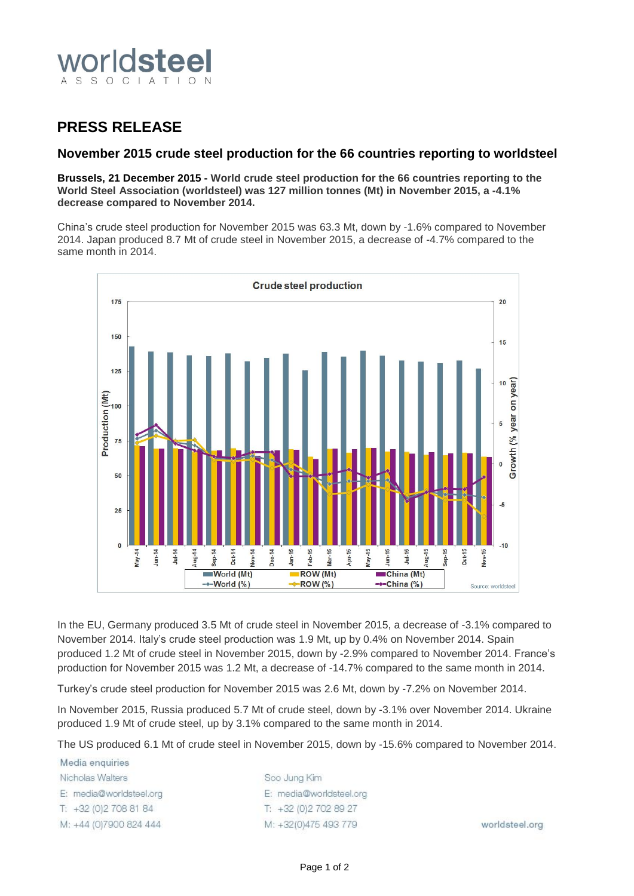

## **PRESS RELEASE**

## **November 2015 crude steel production for the 66 countries reporting to worldsteel**

**Brussels, 21 December 2015 - World crude steel production for the 66 countries reporting to the World Steel Association (worldsteel) was 127 million tonnes (Mt) in November 2015, a -4.1% decrease compared to November 2014.**

China's crude steel production for November 2015 was 63.3 Mt, down by -1.6% compared to November 2014. Japan produced 8.7 Mt of crude steel in November 2015, a decrease of -4.7% compared to the same month in 2014.



In the EU, Germany produced 3.5 Mt of crude steel in November 2015, a decrease of -3.1% compared to November 2014. Italy's crude steel production was 1.9 Mt, up by 0.4% on November 2014. Spain produced 1.2 Mt of crude steel in November 2015, down by -2.9% compared to November 2014. France's production for November 2015 was 1.2 Mt, a decrease of -14.7% compared to the same month in 2014.

Turkey's crude steel production for November 2015 was 2.6 Mt, down by -7.2% on November 2014.

In November 2015, Russia produced 5.7 Mt of crude steel, down by -3.1% over November 2014. Ukraine produced 1.9 Mt of crude steel, up by 3.1% compared to the same month in 2014.

The US produced 6.1 Mt of crude steel in November 2015, down by -15.6% compared to November 2014.

Media enquiries Nicholas Walters E: media@worldsteel.org T: +32 (0) 2 708 81 84 M: +44 (0)7900 824 444

Soo Jung Kim E: media@worldsteel.org T: +32 (0) 2 70 2 89 27 M: +32(0)475 493 779

worldsteel.org